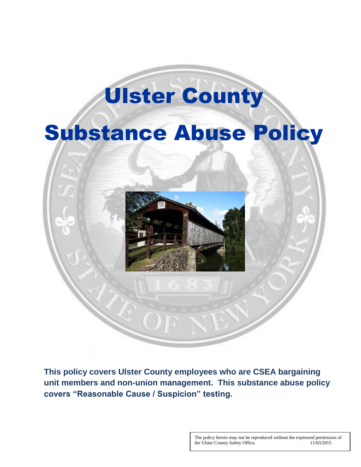# Ulster County

# Substance Abuse Policy



**This policy covers Ulster County employees who are CSEA bargaining unit members and non-union management. This substance abuse policy covers "Reasonable Cause / Suspicion" testing.**

> The policy herein may not be reproduced without the expressed permission of the Ulster County Safety Office. 11/03/2015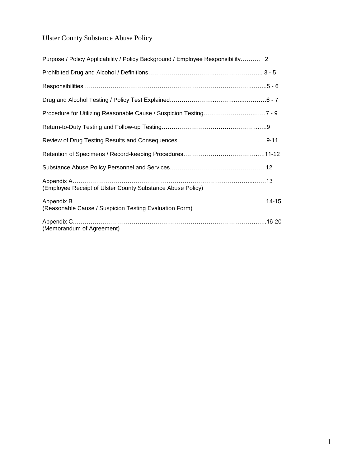# Ulster County Substance Abuse Policy

| Purpose / Policy Applicability / Policy Background / Employee Responsibility 2 |  |
|--------------------------------------------------------------------------------|--|
|                                                                                |  |
|                                                                                |  |
|                                                                                |  |
|                                                                                |  |
|                                                                                |  |
|                                                                                |  |
|                                                                                |  |
|                                                                                |  |
| (Employee Receipt of Ulster County Substance Abuse Policy)                     |  |
| (Reasonable Cause / Suspicion Testing Evaluation Form)                         |  |
| (Memorandum of Agreement)                                                      |  |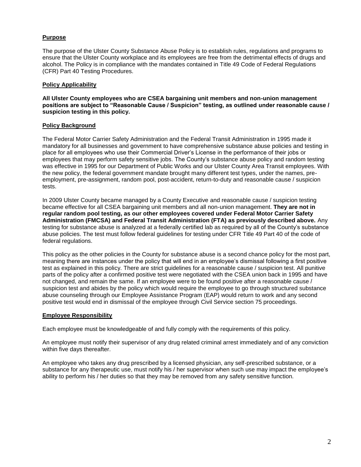# **Purpose**

The purpose of the Ulster County Substance Abuse Policy is to establish rules, regulations and programs to ensure that the Ulster County workplace and its employees are free from the detrimental effects of drugs and alcohol. The Policy is in compliance with the mandates contained in Title 49 Code of Federal Regulations (CFR) Part 40 Testing Procedures.

# **Policy Applicability**

**All Ulster County employees who are CSEA bargaining unit members and non-union management positions are subject to "Reasonable Cause / Suspicion" testing, as outlined under reasonable cause / suspicion testing in this policy.**

# **Policy Background**

The Federal Motor Carrier Safety Administration and the Federal Transit Administration in 1995 made it mandatory for all businesses and government to have comprehensive substance abuse policies and testing in place for all employees who use their Commercial Driver's License in the performance of their jobs or employees that may perform safety sensitive jobs. The County's substance abuse policy and random testing was effective in 1995 for our Department of Public Works and our Ulster County Area Transit employees. With the new policy, the federal government mandate brought many different test types, under the names, preemployment, pre-assignment, random pool, post-accident, return-to-duty and reasonable cause / suspicion tests.

In 2009 Ulster County became managed by a County Executive and reasonable cause / suspicion testing became effective for all CSEA bargaining unit members and all non-union management. **They are not in regular random pool testing, as our other employees covered under Federal Motor Carrier Safety Administration (FMCSA) and Federal Transit Administration (FTA) as previously described above.** Any testing for substance abuse is analyzed at a federally certified lab as required by all of the County's substance abuse policies. The test must follow federal guidelines for testing under CFR Title 49 Part 40 of the code of federal regulations.

This policy as the other policies in the County for substance abuse is a second chance policy for the most part, meaning there are instances under the policy that will end in an employee's dismissal following a first positive test as explained in this policy. There are strict guidelines for a reasonable cause / suspicion test. All punitive parts of the policy after a confirmed positive test were negotiated with the CSEA union back in 1995 and have not changed, and remain the same. If an employee were to be found positive after a reasonable cause / suspicion test and abides by the policy which would require the employee to go through structured substance abuse counseling through our Employee Assistance Program (EAP) would return to work and any second positive test would end in dismissal of the employee through Civil Service section 75 proceedings.

#### **Employee Responsibility**

Each employee must be knowledgeable of and fully comply with the requirements of this policy.

An employee must notify their supervisor of any drug related criminal arrest immediately and of any conviction within five days thereafter.

An employee who takes any drug prescribed by a licensed physician, any self-prescribed substance, or a substance for any therapeutic use, must notify his / her supervisor when such use may impact the employee's ability to perform his / her duties so that they may be removed from any safety sensitive function.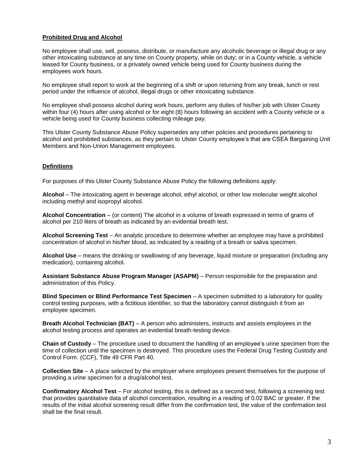# **Prohibited Drug and Alcohol**

No employee shall use, sell, possess, distribute, or manufacture any alcoholic beverage or illegal drug or any other intoxicating substance at any time on County property, while on duty; or in a County vehicle, a vehicle leased for County business, or a privately owned vehicle being used for County business during the employees work hours.

No employee shall report to work at the beginning of a shift or upon returning from any break, lunch or rest period under the influence of alcohol, illegal drugs or other intoxicating substance.

No employee shall possess alcohol during work hours, perform any duties of his/her job with Ulster County within four (4) hours after using alcohol or for eight (8) hours following an accident with a County vehicle or a vehicle being used for County business collecting mileage pay.

This Ulster County Substance Abuse Policy supersedes any other policies and procedures pertaining to alcohol and prohibited substances, as they pertain to Ulster County employee's that are CSEA Bargaining Unit Members and Non-Union Management employees.

# **Definitions**

For purposes of this Ulster County Substance Abuse Policy the following definitions apply:

**Alcohol** – The intoxicating agent in beverage alcohol, ethyl alcohol, or other low molecular weight alcohol including methyl and isopropyl alcohol.

**Alcohol Concentration** – (or content) The alcohol in a volume of breath expressed in terms of grams of alcohol per 210 liters of breath as indicated by an evidential breath test.

**Alcohol Screening Test** – An analytic procedure to determine whether an employee may have a prohibited concentration of alcohol in his/her blood, as indicated by a reading of a breath or saliva specimen.

**Alcohol Use** – means the drinking or swallowing of any beverage, liquid mixture or preparation (including any medication), containing alcohol.

**Assistant Substance Abuse Program Manager (ASAPM)** – Person responsible for the preparation and administration of this Policy.

**Blind Specimen or Blind Performance Test Specimen** – A specimen submitted to a laboratory for quality control testing purposes, with a fictitious identifier, so that the laboratory cannot distinguish it from an employee specimen.

**Breath Alcohol Technician (BAT)** – A person who administers, instructs and assists employees in the alcohol testing process and operates an evidential breath-testing device.

**Chain of Custody** – The procedure used to document the handling of an employee's urine specimen from the time of collection until the specimen is destroyed. This procedure uses the Federal Drug Testing Custody and Control Form. (CCF), Title 49 CFR Part 40.

**Collection Site** – A place selected by the employer where employees present themselves for the purpose of providing a urine specimen for a drug/alcohol test.

**Confirmatory Alcohol Test** – For alcohol testing, this is defined as a second test, following a screening test that provides quantitative data of alcohol concentration, resulting in a reading of 0.02 BAC or greater. If the results of the initial alcohol screening result differ from the confirmation test, the value of the confirmation test shall be the final result.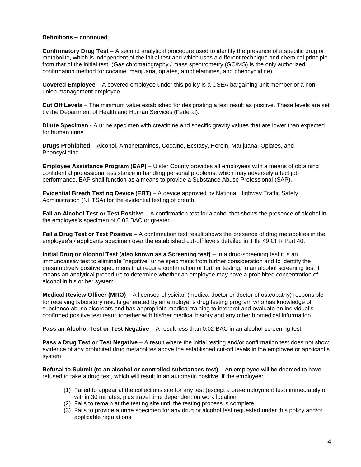# **Definitions – continued**

**Confirmatory Drug Test** – A second analytical procedure used to identify the presence of a specific drug or metabolite, which is independent of the initial test and which uses a different technique and chemical principle from that of the initial test. (Gas chromatography / mass spectrometry (GC/MS) is the only authorized confirmation method for cocaine, marijuana, opiates, amphetamines, and phencyclidine).

**Covered Employee** – A covered employee under this policy is a CSEA bargaining unit member or a nonunion management employee.

**Cut Off Levels** – The minimum value established for designating a test result as positive. These levels are set by the Department of Health and Human Services (Federal).

**Dilute Specimen** - A urine specimen with creatinine and specific gravity values that are lower than expected for human urine.

**Drugs Prohibited** – Alcohol, Amphetamines, Cocaine, Ecstasy, Heroin, Marijuana, Opiates, and Phencyclidine.

**Employee Assistance Program (EAP)** – Ulster County provides all employees with a means of obtaining confidential professional assistance in handling personal problems, which may adversely affect job performance. EAP shall function as a means to provide a Substance Abuse Professional (SAP).

**Evidential Breath Testing Device (EBT)** – A device approved by National Highway Traffic Safety Administration (NHTSA) for the evidential testing of breath.

**Fail an Alcohol Test or Test Positive** – A confirmation test for alcohol that shows the presence of alcohol in the employee's specimen of 0.02 BAC or greater.

**Fail a Drug Test or Test Positive** – A confirmation test result shows the presence of drug metabolites in the employee's / applicants specimen over the established cut-off levels detailed in Title 49 CFR Part 40.

**Initial Drug or Alcohol Test (also known as a Screening test)** – In a drug-screening test it is an immunoassay test to eliminate "negative" urine specimens from further consideration and to identify the presumptively positive specimens that require confirmation or further testing. In an alcohol screening test it means an analytical procedure to determine whether an employee may have a prohibited concentration of alcohol in his or her system.

**Medical Review Officer (MRO)** – A licensed physician (medical doctor or doctor of osteopathy) responsible for receiving laboratory results generated by an employer's drug testing program who has knowledge of substance abuse disorders and has appropriate medical training to interpret and evaluate an individual's confirmed positive test result together with his/her medical history and any other biomedical information.

**Pass an Alcohol Test or Test Negative** – A result less than 0.02 BAC in an alcohol-screening test.

**Pass a Drug Test or Test Negative** – A result where the initial testing and/or confirmation test does not show evidence of any prohibited drug metabolites above the established cut-off levels in the employee or applicant's system.

**Refusal to Submit (to an alcohol or controlled substances test)** – An employee will be deemed to have refused to take a drug test, which will result in an automatic positive, if the employee:

- (1) Failed to appear at the collections site for any test (except a pre-employment test) immediately or within 30 minutes, plus travel time dependent on work location.
- (2) Fails to remain at the testing site until the testing process is complete.
- (3) Fails to provide a urine specimen for any drug or alcohol test requested under this policy and/or applicable regulations.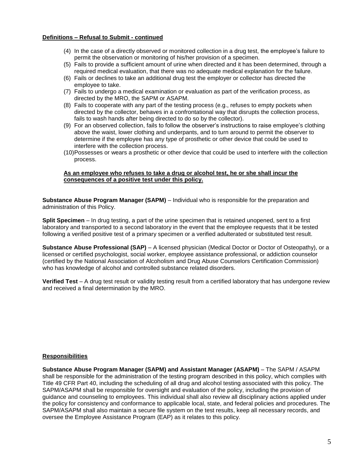#### **Definitions – Refusal to Submit - continued**

- (4) In the case of a directly observed or monitored collection in a drug test, the employee's failure to permit the observation or monitoring of his/her provision of a specimen.
- (5) Fails to provide a sufficient amount of urine when directed and it has been determined, through a required medical evaluation, that there was no adequate medical explanation for the failure.
- (6) Fails or declines to take an additional drug test the employer or collector has directed the employee to take.
- (7) Fails to undergo a medical examination or evaluation as part of the verification process, as directed by the MRO, the SAPM or ASAPM.
- (8) Fails to cooperate with any part of the testing process (e.g., refuses to empty pockets when directed by the collector, behaves in a confrontational way that disrupts the collection process, fails to wash hands after being directed to do so by the collector).
- (9) For an observed collection, fails to follow the observer's instructions to raise employee's clothing above the waist, lower clothing and underpants, and to turn around to permit the observer to determine if the employee has any type of prosthetic or other device that could be used to interfere with the collection process.
- (10)Possesses or wears a prosthetic or other device that could be used to interfere with the collection process.

### **As an employee who refuses to take a drug or alcohol test, he or she shall incur the consequences of a positive test under this policy.**

**Substance Abuse Program Manager (SAPM)** – Individual who is responsible for the preparation and administration of this Policy.

**Split Specimen** – In drug testing, a part of the urine specimen that is retained unopened, sent to a first laboratory and transported to a second laboratory in the event that the employee requests that it be tested following a verified positive test of a primary specimen or a verified adulterated or substituted test result.

**Substance Abuse Professional (SAP)** – A licensed physician (Medical Doctor or Doctor of Osteopathy), or a licensed or certified psychologist, social worker, employee assistance professional, or addiction counselor (certified by the National Association of Alcoholism and Drug Abuse Counselors Certification Commission) who has knowledge of alcohol and controlled substance related disorders.

**Verified Test** – A drug test result or validity testing result from a certified laboratory that has undergone review and received a final determination by the MRO.

#### **Responsibilities**

**Substance Abuse Program Manager (SAPM) and Assistant Manager (ASAPM)** – The SAPM / ASAPM shall be responsible for the administration of the testing program described in this policy, which complies with Title 49 CFR Part 40, including the scheduling of all drug and alcohol testing associated with this policy. The SAPM/ASAPM shall be responsible for oversight and evaluation of the policy, including the provision of guidance and counseling to employees. This individual shall also review all disciplinary actions applied under the policy for consistency and conformance to applicable local, state, and federal policies and procedures. The SAPM/ASAPM shall also maintain a secure file system on the test results, keep all necessary records, and oversee the Employee Assistance Program (EAP) as it relates to this policy.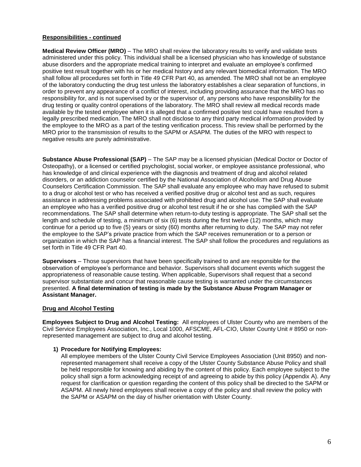# **Responsibilities - continued**

**Medical Review Officer (MRO)** – The MRO shall review the laboratory results to verify and validate tests administered under this policy. This individual shall be a licensed physician who has knowledge of substance abuse disorders and the appropriate medical training to interpret and evaluate an employee's confirmed positive test result together with his or her medical history and any relevant biomedical information. The MRO shall follow all procedures set forth in Title 49 CFR Part 40, as amended. The MRO shall not be an employee of the laboratory conducting the drug test unless the laboratory establishes a clear separation of functions, in order to prevent any appearance of a conflict of interest, including providing assurance that the MRO has no responsibility for, and is not supervised by or the supervisor of, any persons who have responsibility for the drug testing or quality control operations of the laboratory. The MRO shall review all medical records made available by the tested employee when it is alleged that a confirmed positive test could have resulted from a legally prescribed medication. The MRO shall not disclose to any third party medical information provided by the employee to the MRO as a part of the testing verification process. This review shall be performed by the MRO prior to the transmission of results to the SAPM or ASAPM. The duties of the MRO with respect to negative results are purely administrative.

**Substance Abuse Professional (SAP)** – The SAP may be a licensed physician (Medical Doctor or Doctor of Osteopathy), or a licensed or certified psychologist, social worker, or employee assistance professional, who has knowledge of and clinical experience with the diagnosis and treatment of drug and alcohol related disorders, or an addiction counselor certified by the National Association of Alcoholism and Drug Abuse Counselors Certification Commission. The SAP shall evaluate any employee who may have refused to submit to a drug or alcohol test or who has received a verified positive drug or alcohol test and as such, requires assistance in addressing problems associated with prohibited drug and alcohol use. The SAP shall evaluate an employee who has a verified positive drug or alcohol test result if he or she has complied with the SAP recommendations. The SAP shall determine when return-to-duty testing is appropriate. The SAP shall set the length and schedule of testing, a minimum of six (6) tests during the first twelve (12) months, which may continue for a period up to five (5) years or sixty (60) months after returning to duty. The SAP may not refer the employee to the SAP's private practice from which the SAP receives remuneration or to a person or organization in which the SAP has a financial interest. The SAP shall follow the procedures and regulations as set forth in Title 49 CFR Part 40.

**Supervisors** – Those supervisors that have been specifically trained to and are responsible for the observation of employee's performance and behavior. Supervisors shall document events which suggest the appropriateness of reasonable cause testing. When applicable, Supervisors shall request that a second supervisor substantiate and concur that reasonable cause testing is warranted under the circumstances presented. **A final determination of testing is made by the Substance Abuse Program Manager or Assistant Manager.**

# **Drug and Alcohol Testing**

**Employees Subject to Drug and Alcohol Testing:** All employees of Ulster County who are members of the Civil Service Employees Association, Inc., Local 1000, AFSCME, AFL-CIO, Ulster County Unit # 8950 or nonrepresented management are subject to drug and alcohol testing.

#### **1) Procedure for Notifying Employees:**

All employee members of the Ulster County Civil Service Employees Association (Unit 8950) and nonrepresented management shall receive a copy of the Ulster County Substance Abuse Policy and shall be held responsible for knowing and abiding by the content of this policy. Each employee subject to the policy shall sign a form acknowledging receipt of and agreeing to abide by this policy (Appendix A). Any request for clarification or question regarding the content of this policy shall be directed to the SAPM or ASAPM. All newly hired employees shall receive a copy of the policy and shall review the policy with the SAPM or ASAPM on the day of his/her orientation with Ulster County.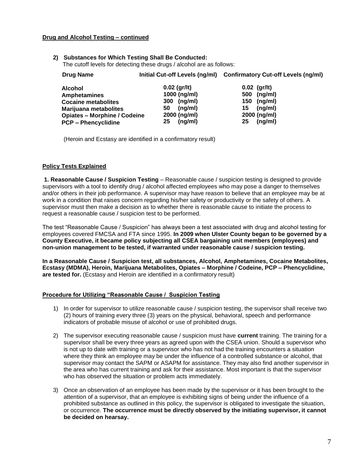# **Drug and Alcohol Testing – continued**

**2) Substances for Which Testing Shall Be Conducted:** The cutoff levels for detecting these drugs / alcohol are as follows:

| Drug Name                         |                | Initial Cut-off Levels (ng/ml) Confirmatory Cut-off Levels (ng/ml) |
|-----------------------------------|----------------|--------------------------------------------------------------------|
| Alcohol                           | $0.02$ (gr/lt) | $0.02$ (gr/lt)                                                     |
| . A see this is the see I see a m | $1000$ (ng/ml) | $F_{\text{A}}$ (nami)                                              |

| Amphetamines                        | $1000$ (ng/ml) | 500 (ng/ml)   |
|-------------------------------------|----------------|---------------|
| <b>Cocaine metabolites</b>          | (ng/ml)<br>300 | 150 (ng/ml)   |
| Marijuana metabolites               | (na/ml)<br>50  | (ng/ml)<br>15 |
| <b>Opiates – Morphine / Codeine</b> | 2000 (ng/ml)   | 2000 (ng/ml)  |
| <b>PCP - Phencyclidine</b>          | (na/ml)<br>25  | (ng/ml)<br>25 |

(Heroin and Ecstasy are identified in a confirmatory result)

# **Policy Tests Explained**

**1. Reasonable Cause / Suspicion Testing** – Reasonable cause / suspicion testing is designed to provide supervisors with a tool to identify drug / alcohol affected employees who may pose a danger to themselves and/or others in their job performance. A supervisor may have reason to believe that an employee may be at work in a condition that raises concern regarding his/her safety or productivity or the safety of others. A supervisor must then make a decision as to whether there is reasonable cause to initiate the process to request a reasonable cause / suspicion test to be performed.

The test "Reasonable Cause / Suspicion" has always been a test associated with drug and alcohol testing for employees covered FMCSA and FTA since 1995. **In 2009 when Ulster County began to be governed by a County Executive, it became policy subjecting all CSEA bargaining unit members (employees) and non-union management to be tested, if warranted under reasonable cause / suspicion testing.**

**In a Reasonable Cause / Suspicion test, all substances, Alcohol, Amphetamines, Cocaine Metabolites, Ecstasy (MDMA), Heroin, Marijuana Metabolites, Opiates – Morphine / Codeine, PCP – Phencyclidine, are tested for.** (Ecstasy and Heroin are identified in a confirmatory result)

# **Procedure for Utilizing "Reasonable Cause / Suspicion Testing**

- 1) In order for supervisor to utilize reasonable cause / suspicion testing, the supervisor shall receive two (2) hours of training every three (3) years on the physical, behavioral, speech and performance indicators of probable misuse of alcohol or use of prohibited drugs.
- 2) The supervisor executing reasonable cause / suspicion must have **current** training. The training for a supervisor shall be every three years as agreed upon with the CSEA union. Should a supervisor who is not up to date with training or a supervisor who has not had the training encounters a situation where they think an employee may be under the influence of a controlled substance or alcohol, that supervisor may contact the SAPM or ASAPM for assistance. They may also find another supervisor in the area who has current training and ask for their assistance. Most important is that the supervisor who has observed the situation or problem acts immediately.
- 3) Once an observation of an employee has been made by the supervisor or it has been brought to the attention of a supervisor, that an employee is exhibiting signs of being under the influence of a prohibited substance as outlined in this policy, the supervisor is obligated to investigate the situation, or occurrence. **The occurrence must be directly observed by the initiating supervisor, it cannot be decided on hearsay.**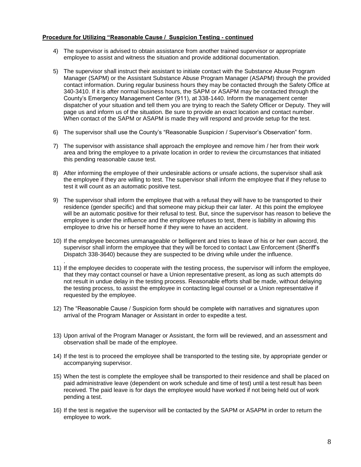### **Procedure for Utilizing "Reasonable Cause / Suspicion Testing - continued**

.

- 4) The supervisor is advised to obtain assistance from another trained supervisor or appropriate employee to assist and witness the situation and provide additional documentation.
- 5) The supervisor shall instruct their assistant to initiate contact with the Substance Abuse Program Manager (SAPM) or the Assistant Substance Abuse Program Manager (ASAPM) through the provided contact information. During regular business hours they may be contacted through the Safety Office at 340-3410. If it is after normal business hours, the SAPM or ASAPM may be contacted through the County's Emergency Management Center (911), at 338-1440. Inform the management center dispatcher of your situation and tell them you are trying to reach the Safety Officer or Deputy. They will page us and inform us of the situation. Be sure to provide an exact location and contact number. When contact of the SAPM or ASAPM is made they will respond and provide setup for the test.
- 6) The supervisor shall use the County's "Reasonable Suspicion / Supervisor's Observation" form.
- 7) The supervisor with assistance shall approach the employee and remove him / her from their work area and bring the employee to a private location in order to review the circumstances that initiated this pending reasonable cause test.
- 8) After informing the employee of their undesirable actions or unsafe actions, the supervisor shall ask the employee if they are willing to test. The supervisor shall inform the employee that if they refuse to test it will count as an automatic positive test.
- 9) The supervisor shall inform the employee that with a refusal they will have to be transported to their residence (gender specific) and that someone may pickup their car later. At this point the employee will be an automatic positive for their refusal to test. But, since the supervisor has reason to believe the employee is under the influence and the employee refuses to test, there is liability in allowing this employee to drive his or herself home if they were to have an accident.
- 10) If the employee becomes unmanageable or belligerent and tries to leave of his or her own accord, the supervisor shall inform the employee that they will be forced to contact Law Enforcement (Sheriff's Dispatch 338-3640) because they are suspected to be driving while under the influence.
- 11) If the employee decides to cooperate with the testing process, the supervisor will inform the employee, that they may contact counsel or have a Union representative present, as long as such attempts do not result in undue delay in the testing process. Reasonable efforts shall be made, without delaying the testing process, to assist the employee in contacting legal counsel or a Union representative if requested by the employee.
- 12) The "Reasonable Cause / Suspicion form should be complete with narratives and signatures upon arrival of the Program Manager or Assistant in order to expedite a test.
- 13) Upon arrival of the Program Manager or Assistant, the form will be reviewed, and an assessment and observation shall be made of the employee.
- 14) If the test is to proceed the employee shall be transported to the testing site, by appropriate gender or accompanying supervisor.
- 15) When the test is complete the employee shall be transported to their residence and shall be placed on paid administrative leave (dependent on work schedule and time of test) until a test result has been received. The paid leave is for days the employee would have worked if not being held out of work pending a test.
- 16) If the test is negative the supervisor will be contacted by the SAPM or ASAPM in order to return the employee to work.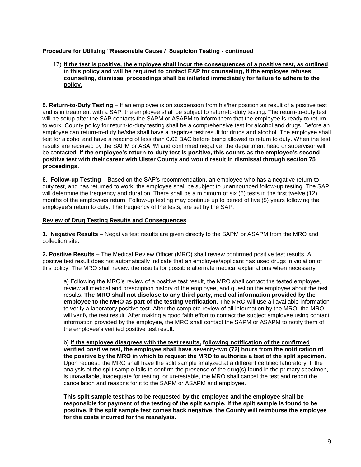# **Procedure for Utilizing "Reasonable Cause / Suspicion Testing - continued**

# 17) **If the test is positive, the employee shall incur the consequences of a positive test, as outlined in this policy and will be required to contact EAP for counseling, If the employee refuses counseling, dismissal proceedings shall be initiated immediately for failure to adhere to the policy.**

**5. Return-to-Duty Testing** – If an employee is on suspension from his/her position as result of a positive test and is in treatment with a SAP, the employee shall be subject to return-to-duty testing. The return-to-duty test will be setup after the SAP contacts the SAPM or ASAPM to inform them that the employee is ready to return to work. County policy for return-to-duty testing shall be a comprehensive test for alcohol and drugs. Before an employee can return-to-duty he/she shall have a negative test result for drugs and alcohol. The employee shall test for alcohol and have a reading of less than 0.02 BAC before being allowed to return to duty. When the test results are received by the SAPM or ASAPM and confirmed negative, the department head or supervisor will be contacted. **If the employee's return-to-duty test is positive, this counts as the employee's second positive test with their career with Ulster County and would result in dismissal through section 75 proceedings.** 

**6. Follow-up Testing** – Based on the SAP's recommendation, an employee who has a negative return-toduty test, and has returned to work, the employee shall be subject to unannounced follow-up testing. The SAP will determine the frequency and duration. There shall be a minimum of six (6) tests in the first twelve (12) months of the employees return. Follow-up testing may continue up to period of five (5) years following the employee's return to duty. The frequency of the tests, are set by the SAP.

# **Review of Drug Testing Results and Consequences**

**1. Negative Results** – Negative test results are given directly to the SAPM or ASAPM from the MRO and collection site.

**2. Positive Results** – The Medical Review Officer (MRO) shall review confirmed positive test results. A positive test result does not automatically indicate that an employee/applicant has used drugs in violation of this policy. The MRO shall review the results for possible alternate medical explanations when necessary.

a) Following the MRO's review of a positive test result, the MRO shall contact the tested employee, review all medical and prescription history of the employee, and question the employee about the test results. **The MRO shall not disclose to any third party, medical information provided by the employee to the MRO as part of the testing verification.** The MRO will use all available information to verify a laboratory positive test. After the complete review of all information by the MRO, the MRO will verify the test result. After making a good faith effort to contact the subject employee using contact information provided by the employee, the MRO shall contact the SAPM or ASAPM to notify them of the employee's verified positive test result.

b) **If the employee disagrees with the test results, following notification of the confirmed verified positive test, the employee shall have seventy-two (72) hours from the notification of the positive by the MRO in which to request the MRO to authorize a test of the split specimen.** Upon request, the MRO shall have the split sample analyzed at a different certified laboratory. If the analysis of the split sample fails to confirm the presence of the drug(s) found in the primary specimen, is unavailable, inadequate for testing, or un-testable, the MRO shall cancel the test and report the cancellation and reasons for it to the SAPM or ASAPM and employee.

**This split sample test has to be requested by the employee and the employee shall be responsible for payment of the testing of the split sample, if the split sample is found to be positive. If the split sample test comes back negative, the County will reimburse the employee for the costs incurred for the reanalysis.**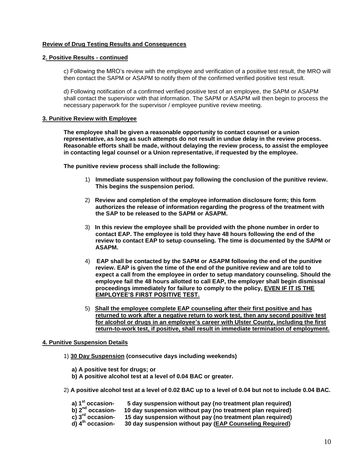# **Review of Drug Testing Results and Consequences**

#### **2. Positive Results - continued**

c) Following the MRO's review with the employee and verification of a positive test result, the MRO will then contact the SAPM or ASAPM to notify them of the confirmed verified positive test result.

d) Following notification of a confirmed verified positive test of an employee, the SAPM or ASAPM shall contact the supervisor with that information. The SAPM or ASAPM will then begin to process the necessary paperwork for the supervisor / employee punitive review meeting.

#### **3. Punitive Review with Employee**

**The employee shall be given a reasonable opportunity to contact counsel or a union representative, as long as such attempts do not result in undue delay in the review process. Reasonable efforts shall be made, without delaying the review process, to assist the employee in contacting legal counsel or a Union representative, if requested by the employee.** 

**The punitive review process shall include the following:**

- 1) **Immediate suspension without pay following the conclusion of the punitive review. This begins the suspension period.**
- 2) **Review and completion of the employee information disclosure form; this form authorizes the release of information regarding the progress of the treatment with the SAP to be released to the SAPM or ASAPM.**
- 3) **In this review the employee shall be provided with the phone number in order to contact EAP. The employee is told they have 48 hours following the end of the review to contact EAP to setup counseling. The time is documented by the SAPM or ASAPM.**
- 4) **EAP shall be contacted by the SAPM or ASAPM following the end of the punitive review. EAP is given the time of the end of the punitive review and are told to expect a call from the employee in order to setup mandatory counseling. Should the employee fail the 48 hours allotted to call EAP, the employer shall begin dismissal proceedings immediately for failure to comply to the policy, EVEN IF IT IS THE EMPLOYEE'S FIRST POSITIVE TEST.**
- 5) **Shall the employee complete EAP counseling after their first positive and has returned to work after a negative return to work test, then any second positive test for alcohol or drugs in an employee's career with Ulster County, including the first return-to-work test, if positive, shall result in immediate termination of employment.**

#### **4. Punitive Suspension Details**

- 1) **30 Day Suspension (consecutive days including weekends)**
	- **a) A positive test for drugs; or**
	- **b) A positive alcohol test at a level of 0.04 BAC or greater.**
- 2) **A positive alcohol test at a level of 0.02 BAC up to a level of 0.04 but not to include 0.04 BAC.**

| a) 1 <sup>st</sup> occasion- | 5 day suspension without pay (no treatment plan required) |
|------------------------------|-----------------------------------------------------------|
|------------------------------|-----------------------------------------------------------|

- 
- **b)**  $2^{nd}$  occasion- 10 day suspension without pay (no treatment plan required)<br> **c)**  $3^{rd}$  occasion- 15 day suspension without pay (no treatment plan required)<br> **d)**  $4^{th}$  occasion- 30 day suspension without pay (EAP C **15 day suspension without pay (no treatment plan required)**
- **d) 4th occasion- 30 day suspension without pay (EAP Counseling Required)**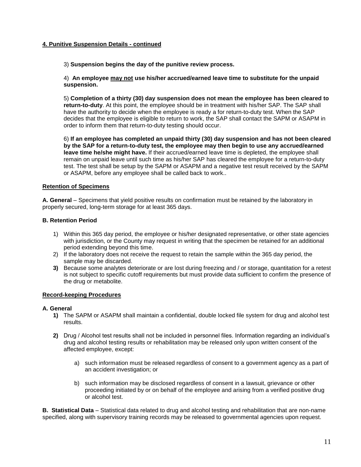# **4. Punitive Suspension Details - continued**

3) **Suspension begins the day of the punitive review process.** 

4) **An employee may not use his/her accrued/earned leave time to substitute for the unpaid suspension.**

5) **Completion of a thirty (30) day suspension does not mean the employee has been cleared to return-to-duty**. At this point, the employee should be in treatment with his/her SAP. The SAP shall have the authority to decide when the employee is ready a for return-to-duty test. When the SAP decides that the employee is eligible to return to work, the SAP shall contact the SAPM or ASAPM in order to inform them that return-to-duty testing should occur.

6) **If an employee has completed an unpaid thirty (30) day suspension and has not been cleared by the SAP for a return-to-duty test, the employee may then begin to use any accrued/earned leave time he/she might have.** If their accrued/earned leave time is depleted, the employee shall remain on unpaid leave until such time as his/her SAP has cleared the employee for a return-to-duty test. The test shall be setup by the SAPM or ASAPM and a negative test result received by the SAPM or ASAPM, before any employee shall be called back to work..

# **Retention of Specimens**

**A. General** – Specimens that yield positive results on confirmation must be retained by the laboratory in properly secured, long-term storage for at least 365 days.

# **B. Retention Period**

- 1) Within this 365 day period, the employee or his/her designated representative, or other state agencies with jurisdiction, or the County may request in writing that the specimen be retained for an additional period extending beyond this time.
- 2) If the laboratory does not receive the request to retain the sample within the 365 day period, the sample may be discarded.
- **3)** Because some analytes deteriorate or are lost during freezing and / or storage, quantitation for a retest is not subject to specific cutoff requirements but must provide data sufficient to confirm the presence of the drug or metabolite.

# **Record-keeping Procedures**

#### **A. General**

- **1)** The SAPM or ASAPM shall maintain a confidential, double locked file system for drug and alcohol test results.
- **2)** Drug / Alcohol test results shall not be included in personnel files. Information regarding an individual's drug and alcohol testing results or rehabilitation may be released only upon written consent of the affected employee, except:
	- a) such information must be released regardless of consent to a government agency as a part of an accident investigation; or
	- b) such information may be disclosed regardless of consent in a lawsuit, grievance or other proceeding initiated by or on behalf of the employee and arising from a verified positive drug or alcohol test.

**B. Statistical Data** – Statistical data related to drug and alcohol testing and rehabilitation that are non-name specified, along with supervisory training records may be released to governmental agencies upon request.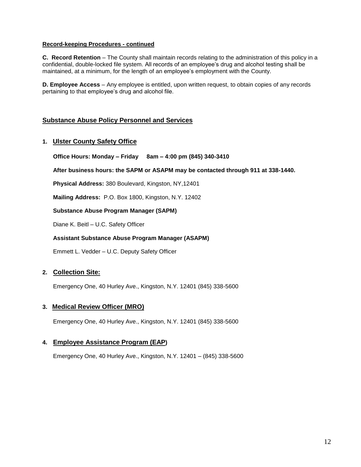# **Record-keeping Procedures - continued**

**C. Record Retention** – The County shall maintain records relating to the administration of this policy in a confidential, double-locked file system. All records of an employee's drug and alcohol testing shall be maintained, at a minimum, for the length of an employee's employment with the County.

**D. Employee Access** – Any employee is entitled, upon written request, to obtain copies of any records pertaining to that employee's drug and alcohol file.

# **Substance Abuse Policy Personnel and Services**

# **1. Ulster County Safety Office**

**Office Hours: Monday – Friday 8am – 4:00 pm (845) 340-3410**

**After business hours: the SAPM or ASAPM may be contacted through 911 at 338-1440.**

**Physical Address:** 380 Boulevard, Kingston, NY,12401

**Mailing Address:** P.O. Box 1800, Kingston, N.Y. 12402

**Substance Abuse Program Manager (SAPM)**

Diane K. Beitl – U.C. Safety Officer

# **Assistant Substance Abuse Program Manager (ASAPM)**

Emmett L. Vedder – U.C. Deputy Safety Officer

# **2. Collection Site:**

Emergency One, 40 Hurley Ave., Kingston, N.Y. 12401 (845) 338-5600

# **3. Medical Review Officer (MRO)**

Emergency One, 40 Hurley Ave., Kingston, N.Y. 12401 (845) 338-5600

# **4. Employee Assistance Program (EAP)**

Emergency One, 40 Hurley Ave., Kingston, N.Y. 12401 – (845) 338-5600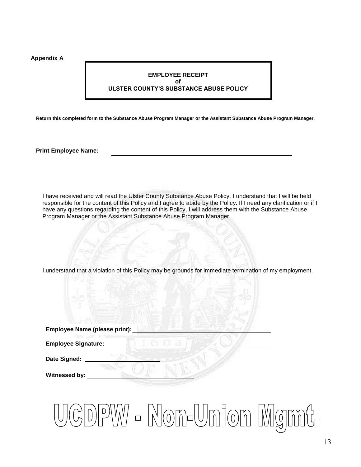### **Appendix A**

# **EMPLOYEE RECEIPT of ULSTER COUNTY'S SUBSTANCE ABUSE POLICY**

**Return this completed form to the Substance Abuse Program Manager or the Assistant Substance Abuse Program Manager.**

**Print Employee Name:**

I have received and will read the Ulster County Substance Abuse Policy. I understand that I will be held responsible for the content of this Policy and I agree to abide by the Policy. If I need any clarification or if I have any questions regarding the content of this Policy, I will address them with the Substance Abuse Program Manager or the Assistant Substance Abuse Program Manager.

I understand that a violation of this Policy may be grounds for immediate termination of my employment.

| Employee Name (please print): |  |
|-------------------------------|--|
| <b>Employee Signature:</b>    |  |
| Date Signed:                  |  |
| Witnessed by:                 |  |

# JCDPW - Non-Union Mgmt.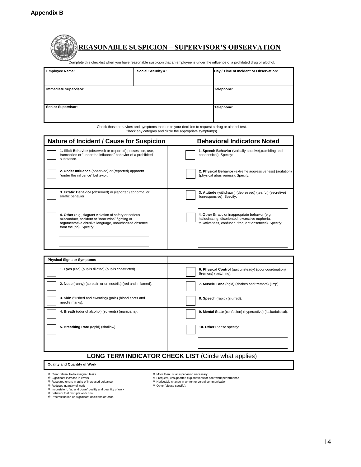| <b>Employee Name:</b> | Social Security #:                                                                                                                                                                            |                                        |
|-----------------------|-----------------------------------------------------------------------------------------------------------------------------------------------------------------------------------------------|----------------------------------------|
|                       |                                                                                                                                                                                               | Day / Time of Incident or Observation: |
|                       | <b>REASONABLE SUSPICION - SUPERVISOR'S OBSERVATION</b><br>Complete this checklist when you have reasonable suspicion that an employee is under the influence of a prohibited drug or alcohol. |                                        |

| <b>Immediate Supervisor:</b> | Telephone: |
|------------------------------|------------|
|                              |            |
| <b>Senior Supervisor:</b>    | Telephone: |
|                              |            |
|                              |            |

Check those behaviors and symptoms that led to your decision to request a drug or alcohol test. Check any category and circle the appropriate symptom(s).

| <b>Nature of Incident / Cause for Suspicion</b>                                                                                                                                               | <b>Behavioral Indicators Noted</b>                                                                                                                            |
|-----------------------------------------------------------------------------------------------------------------------------------------------------------------------------------------------|---------------------------------------------------------------------------------------------------------------------------------------------------------------|
| 1. Illicit Behavior (observed) or (reported) possession, use,<br>transaction or "under the influence" behavior of a prohibited<br>substance.                                                  | 1. Speech Behavior (verbally abusive), (rambling and<br>nonsensical). Specify:                                                                                |
| 2. Under Influence (observed) or (reported) apparent<br>"under the influence" behavior.                                                                                                       | 2. Physical Behavior (extreme aggressiveness) (agitation)<br>(physical abusiveness). Specify:                                                                 |
| 3. Erratic Behavior (observed) or (reported) abnormal or<br>erratic behavior.                                                                                                                 | 3. Attitude (withdrawn) (depressed) (tearful) (secretive)<br>(unresponsive). Specify:                                                                         |
| 4. Other (e.g., flagrant violation of safety or serious<br>misconduct, accident or "near miss" fighting or<br>argumentative abusive language, unauthorized absence<br>from the job). Specify: | 4. Other Erratic or inappropriate behavior (e.g.,<br>hallucinating, disoriented, excessive euphoria,<br>talkativeness, confused, frequent absences). Specify: |

| <b>Physical Signs or Symptoms</b>                                        |                                                                                   |  |  |  |
|--------------------------------------------------------------------------|-----------------------------------------------------------------------------------|--|--|--|
| 1. Eyes (red) (pupils dilated) (pupils constricted).                     | 6. Physical Control (gait unsteady) (poor coordination)<br>(tremors) (twitching). |  |  |  |
| 2. Nose (runny) (sores in or on nostrils) (red and inflamed).            | 7. Muscle Tone (rigid) (shakes and tremors) (limp).                               |  |  |  |
| 3. Skin (flushed and sweating) (pale) (blood spots and<br>needle marks). | 8. Speech (rapid) (slurred).                                                      |  |  |  |
| 4. Breath (odor of alcohol) (solvents) (marijuana).                      | 9. Mental State (confusion) (hyperactive) (lackadaisical).                        |  |  |  |
| 5. Breathing Rate (rapid) (shallow)                                      | 10. Other Please specify:                                                         |  |  |  |
|                                                                          | $AIO$ TEDM INDICATOD CUECK LICT $(Ciala)$ what applical                           |  |  |  |

# **LONG TERM INDICATOR CHECK LIST** (Circle what applies)

#### **Quality and Quantity of Work**

- 
- 
- 

- 孝 Clear refusal to do assigned tasks<br>\* Significant increase in errors<br>\* Repeated errors in spite of increased guidance<br>\* Reduced quantity of work<br>\* Inconsistent, "up and down" quality and quantity of work<br>\* Pehavior that
- More than usual supervision necessary
- Frequent, unsupported explanations for poor work performance Noticeable change in written or verbal communication Other (please specify):
- 
-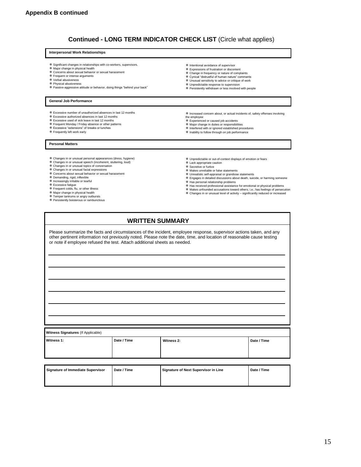# **Continued - LONG TERM INDICATOR CHECK LIST** (Circle what applies)

#### **Interpersonal Work Relationships**

- Significant changes in relationships with co-workers, supervisors. Major change in physical health
- 
- Concerns about sexual behavior or sexual harassment
- Frequent or intense arguments Verbal abusiveness
- 
- Physical abusiveness Passive-aggressive attitude or behavior, doing things "behind your back"

#### **General Job Performance**

- Excessive number of unauthorized absences in last 12 months
- Excessive authorized absences in last 12 months
- Excessive used of sick leave in last 12 months Frequent Monday / Friday absence or other patterns Excessive "extensions" of breaks or lunches
- 
- Frequently left work early
- 
- Increased concern about, or actual incidents of, safety offenses involving
- the employee

**※ Intentional avoidance of supervisor**  Expressions of frustration or discontent Change in frequency or nature of complaints Cynical "distrustful of human nature" comments Unusual sensitivity to advice or critique of work Unpredictable response to supervision Persistently withdrawn or less involved with people

- 
- 
- 

**Personal Matters**

- Changes in or unusual personal appearances (dress, hygiene) Changes in or unusual speech (incoherent, stuttering, loud)
- 
- Changes in or unusual topics of conversation Changes in or unusual facial expressions
- Concerns about sexual behavior or sexual harassment
- 
- Demanding, rigid, inflexible Increasingly irritable or tearful
- Excessive fatigue Frequent colds, flu, or other illness
- 
- 
- Major change in physical health Temper tantrums or angry outbursts Persistently boisterous or rambunctious
- Experienced or caused job accidents Major change in duties or responsibilities
- Interfered with or ignored established procedures Inability to follow through on job performance
- Unpredictable or out-of-context displays of emotion or fears
- Lack appropriate caution Secretive or furtive
- Makes unreliable or false statements
- Unrealistic self-appraisal or grandiose statements
- Engages in detailed discussions about death, suicide, or harming someone
- 
- 举 Has personal relationship problems<br>举 Has received professional assistance for emotional or physical problems
- Makes unfounded accusations toward others; i.e.; has feelings of persecution \* mance amounted acceduring to factivity – significantly reduced or increased ★ Changes in or unusual level of activity – significantly reduced or increased
- 
- **WRITTEN SUMMARY**

Please summarize the facts and circumstances of the incident, employee response, supervisor actions taken, and any other pertinent information not previously noted. Please note the date, time, and location of reasonable cause testing or note if employee refused the test. Attach additional sheets as needed.

| Witness Signatures (If Applicable) |             |            |             |  |
|------------------------------------|-------------|------------|-------------|--|
| Witness 1:                         | Date / Time | Witness 2: | Date / Time |  |
|                                    |             |            |             |  |

| Signature of Immediate Supervisor | Date / Time | Signature of Next Supervisor in Line | Date / Time |
|-----------------------------------|-------------|--------------------------------------|-------------|
|                                   |             |                                      |             |
|                                   |             |                                      |             |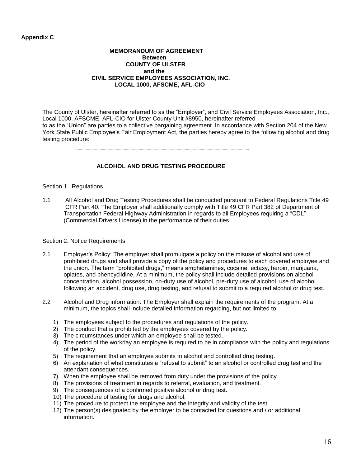# **Appendix C**

#### **MEMORANDUM OF AGREEMENT Between COUNTY OF ULSTER and the CIVIL SERVICE EMPLOYEES ASSOCIATION, INC. LOCAL 1000, AFSCME, AFL-CIO**

The County of Ulster, hereinafter referred to as the "Employer", and Civil Service Employees Association, Inc., Local 1000, AFSCME, AFL-CIO for Ulster County Unit #8950, hereinafter referred to as the "Union" are parties to a collective bargaining agreement. In accordance with Section 204 of the New York State Public Employee's Fair Employment Act, the parties hereby agree to the following alcohol and drug testing procedure:

# **ALCOHOL AND DRUG TESTING PROCEDURE**

# Section 1. Regulations

1.1 All Alcohol and Drug Testing Procedures shall be conducted pursuant to Federal Regulations Title 49 CFR Part 40. The Employer shall additionally comply with Title 49 CFR Part 382 of Department of Transportation Federal Highway Administration in regards to all Employees requiring a "CDL" (Commercial Drivers License) in the performance of their duties.

#### Section 2. Notice Requirements

- 2.1 Employer's Policy: The employer shall promulgate a policy on the misuse of alcohol and use of prohibited drugs and shall provide a copy of the policy and procedures to each covered employee and the union. The term "prohibited drugs," means amphetamines, cocaine, ectasy, heroin, marijuana, opiates, and phencyclidine. At a minimum, the policy shall include detailed provisions on alcohol concentration, alcohol possession, on-duty use of alcohol, pre-duty use of alcohol, use of alcohol following an accident, drug use, drug testing, and refusal to submit to a required alcohol or drug test.
- 2.2 Alcohol and Drug information: The Employer shall explain the requirements of the program. At a minimum, the topics shall include detailed information regarding, but not limited to:
	- 1) The employees subject to the procedures and regulations of the policy.
	- 2) The conduct that is prohibited by the employees covered by the policy.
	- 3) The circumstances under which an employee shall be tested.
	- 4) The period of the workday an employee is required to be in compliance with the policy and regulations of the policy.
	- 5) The requirement that an employee submits to alcohol and controlled drug testing.
	- 6) An explanation of what constitutes a "refusal to submit" to an alcohol or controlled drug test and the attendant consequences.
	- 7) When the employee shall be removed from duty under the provisions of the policy.
	- 8) The provisions of treatment in regards to referral, evaluation, and treatment.
	- 9) The consequences of a confirmed positive alcohol or drug test.
	- 10) The procedure of testing for drugs and alcohol.
	- 11) The procedure to protect the employee and the integrity and validity of the test.
	- 12) The person(s) designated by the employer to be contacted for questions and / or additional information.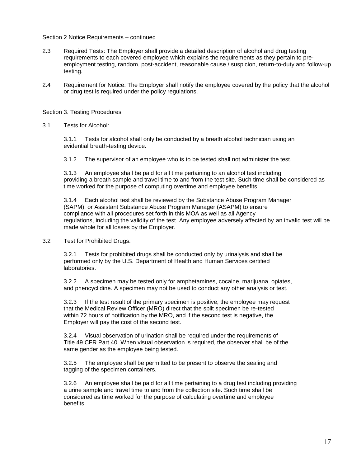#### Section 2 Notice Requirements – continued

- 2.3 Required Tests: The Employer shall provide a detailed description of alcohol and drug testing requirements to each covered employee which explains the requirements as they pertain to preemployment testing, random, post-accident, reasonable cause / suspicion, return-to-duty and follow-up testing.
- 2.4 Requirement for Notice: The Employer shall notify the employee covered by the policy that the alcohol or drug test is required under the policy regulations.

#### Section 3. Testing Procedures

3.1 Tests for Alcohol:

3.1.1 Tests for alcohol shall only be conducted by a breath alcohol technician using an evidential breath-testing device.

3.1.2 The supervisor of an employee who is to be tested shall not administer the test.

3.1.3 An employee shall be paid for all time pertaining to an alcohol test including providing a breath sample and travel time to and from the test site. Such time shall be considered as time worked for the purpose of computing overtime and employee benefits.

3.1.4 Each alcohol test shall be reviewed by the Substance Abuse Program Manager (SAPM), or Assistant Substance Abuse Program Manager (ASAPM) to ensure compliance with all procedures set forth in this MOA as well as all Agency regulations, including the validity of the test. Any employee adversely affected by an invalid test will be made whole for all losses by the Employer.

3.2 Test for Prohibited Drugs:

3.2.1 Tests for prohibited drugs shall be conducted only by urinalysis and shall be performed only by the U.S. Department of Health and Human Services certified laboratories.

3.2.2 A specimen may be tested only for amphetamines, cocaine, marijuana, opiates, and phencyclidine. A specimen may not be used to conduct any other analysis or test.

3.2.3 If the test result of the primary specimen is positive, the employee may request that the Medical Review Officer (MRO) direct that the split specimen be re-tested within 72 hours of notification by the MRO, and if the second test is negative, the Employer will pay the cost of the second test.

3.2.4 Visual observation of urination shall be required under the requirements of Title 49 CFR Part 40. When visual observation is required, the observer shall be of the same gender as the employee being tested.

3.2.5 The employee shall be permitted to be present to observe the sealing and tagging of the specimen containers.

3.2.6 An employee shall be paid for all time pertaining to a drug test including providing a urine sample and travel time to and from the collection site. Such time shall be considered as time worked for the purpose of calculating overtime and employee benefits.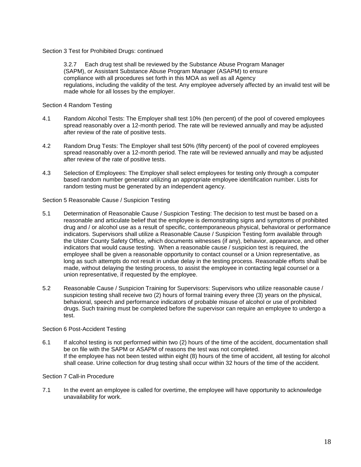Section 3 Test for Prohibited Drugs: continued

3.2.7 Each drug test shall be reviewed by the Substance Abuse Program Manager (SAPM), or Assistant Substance Abuse Program Manager (ASAPM) to ensure compliance with all procedures set forth in this MOA as well as all Agency regulations, including the validity of the test. Any employee adversely affected by an invalid test will be made whole for all losses by the employer.

Section 4 Random Testing

- 4.1 Random Alcohol Tests: The Employer shall test 10% (ten percent) of the pool of covered employees spread reasonably over a 12-month period. The rate will be reviewed annually and may be adjusted after review of the rate of positive tests.
- 4.2 Random Drug Tests: The Employer shall test 50% (fifty percent) of the pool of covered employees spread reasonably over a 12-month period. The rate will be reviewed annually and may be adjusted after review of the rate of positive tests.
- 4.3 Selection of Employees: The Employer shall select employees for testing only through a computer based random number generator utilizing an appropriate employee identification number. Lists for random testing must be generated by an independent agency.

Section 5 Reasonable Cause / Suspicion Testing

- 5.1 Determination of Reasonable Cause / Suspicion Testing: The decision to test must be based on a reasonable and articulate belief that the employee is demonstrating signs and symptoms of prohibited drug and / or alcohol use as a result of specific, contemporaneous physical, behavioral or performance indicators. Supervisors shall utilize a Reasonable Cause / Suspicion Testing form available through the Ulster County Safety Office, which documents witnesses (if any), behavior, appearance, and other indicators that would cause testing. When a reasonable cause / suspicion test is required, the employee shall be given a reasonable opportunity to contact counsel or a Union representative, as long as such attempts do not result in undue delay in the testing process. Reasonable efforts shall be made, without delaying the testing process, to assist the employee in contacting legal counsel or a union representative, if requested by the employee.
- 5.2 Reasonable Cause / Suspicion Training for Supervisors: Supervisors who utilize reasonable cause / suspicion testing shall receive two (2) hours of formal training every three (3) years on the physical, behavioral, speech and performance indicators of probable misuse of alcohol or use of prohibited drugs. Such training must be completed before the supervisor can require an employee to undergo a test.

#### Section 6 Post-Accident Testing

6.1 If alcohol testing is not performed within two (2) hours of the time of the accident, documentation shall be on file with the SAPM or ASAPM of reasons the test was not completed. If the employee has not been tested within eight (8) hours of the time of accident, all testing for alcohol shall cease. Urine collection for drug testing shall occur within 32 hours of the time of the accident.

# Section 7 Call-in Procedure

7.1 In the event an employee is called for overtime, the employee will have opportunity to acknowledge unavailability for work.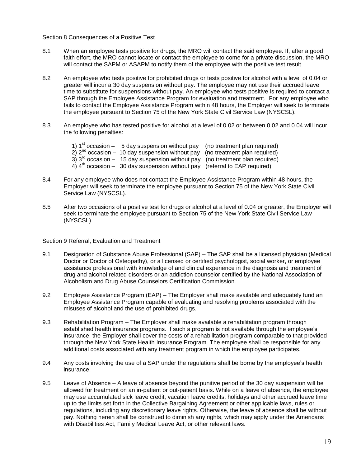Section 8 Consequences of a Positive Test

- 8.1 When an employee tests positive for drugs, the MRO will contact the said employee. If, after a good faith effort, the MRO cannot locate or contact the employee to come for a private discussion, the MRO will contact the SAPM or ASAPM to notify them of the employee with the positive test result.
- 8.2 An employee who tests positive for prohibited drugs or tests positive for alcohol with a level of 0.04 or greater will incur a 30 day suspension without pay. The employee may not use their accrued leave time to substitute for suspensions without pay. An employee who tests positive is required to contact a SAP through the Employee Assistance Program for evaluation and treatment. For any employee who fails to contact the Employee Assistance Program within 48 hours, the Employer will seek to terminate the employee pursuant to Section 75 of the New York State Civil Service Law (NYSCSL).
- 8.3 An employee who has tested positive for alcohol at a level of 0.02 or between 0.02 and 0.04 will incur the following penalties:
	- 1)  $1<sup>st</sup>$  occasion 5 day suspension without pay (no treatment plan required)
	- $2)$   $2<sup>nd</sup>$  occasion 10 day suspension without pay (no treatment plan required)
	- $3)$  3<sup>rd</sup> occasion 15 day suspension without pay (no treatment plan required)
		- $4)$   $4<sup>th</sup>$  occasion 30 day suspension without pay (referral to EAP required)
- 8.4 For any employee who does not contact the Employee Assistance Program within 48 hours, the Employer will seek to terminate the employee pursuant to Section 75 of the New York State Civil Service Law (NYSCSL).
- 8.5 After two occasions of a positive test for drugs or alcohol at a level of 0.04 or greater, the Employer will seek to terminate the employee pursuant to Section 75 of the New York State Civil Service Law (NYSCSL).

Section 9 Referral, Evaluation and Treatment

- 9.1 Designation of Substance Abuse Professional (SAP) The SAP shall be a licensed physician (Medical Doctor or Doctor of Osteopathy), or a licensed or certified psychologist, social worker, or employee assistance professional with knowledge of and clinical experience in the diagnosis and treatment of drug and alcohol related disorders or an addiction counselor certified by the National Association of Alcoholism and Drug Abuse Counselors Certification Commission.
- 9.2 Employee Assistance Program (EAP) The Employer shall make available and adequately fund an Employee Assistance Program capable of evaluating and resolving problems associated with the misuses of alcohol and the use of prohibited drugs.
- 9.3 Rehabilitation Program The Employer shall make available a rehabilitation program through established health insurance programs. If such a program is not available through the employee's insurance, the Employer shall cover the costs of a rehabilitation program comparable to that provided through the New York State Health Insurance Program. The employee shall be responsible for any additional costs associated with any treatment program in which the employee participates.
- 9.4 Any costs involving the use of a SAP under the regulations shall be borne by the employee's health insurance.
- 9.5 Leave of Absence A leave of absence beyond the punitive period of the 30 day suspension will be allowed for treatment on an in-patient or out-patient basis. While on a leave of absence, the employee may use accumulated sick leave credit, vacation leave credits, holidays and other accrued leave time up to the limits set forth in the Collective Bargaining Agreement or other applicable laws, rules or regulations, including any discretionary leave rights. Otherwise, the leave of absence shall be without pay. Nothing herein shall be construed to diminish any rights, which may apply under the Americans with Disabilities Act, Family Medical Leave Act, or other relevant laws.